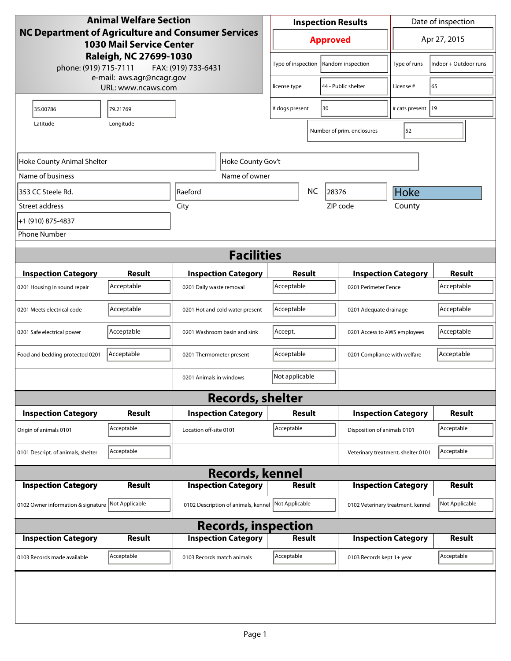| <b>Animal Welfare Section</b>                                                                                                                                   |                             |                                     |                    | <b>Inspection Results</b>            |                     |                              |                                    | Date of inspection         |                             |
|-----------------------------------------------------------------------------------------------------------------------------------------------------------------|-----------------------------|-------------------------------------|--------------------|--------------------------------------|---------------------|------------------------------|------------------------------------|----------------------------|-----------------------------|
| NC Department of Agriculture and Consumer Services<br><b>1030 Mail Service Center</b><br>Raleigh, NC 27699-1030<br>phone: (919) 715-7111<br>FAX: (919) 733-6431 |                             |                                     | <b>Approved</b>    |                                      |                     |                              | Apr 27, 2015                       |                            |                             |
|                                                                                                                                                                 |                             |                                     | Type of inspection |                                      |                     | Random inspection            | Type of runs                       | Indoor + Outdoor runs      |                             |
| e-mail: aws.agr@ncagr.gov<br>URL: www.ncaws.com                                                                                                                 |                             | license type                        |                    |                                      | 44 - Public shelter | License #                    | 65                                 |                            |                             |
| 35.00786                                                                                                                                                        | 79.21769                    |                                     |                    | # dogs present<br>30                 |                     |                              | # cats present   19                |                            |                             |
| Latitude                                                                                                                                                        | Longitude                   |                                     |                    |                                      |                     |                              | Number of prim. enclosures         | 52                         |                             |
| Hoke County Gov't<br>Hoke County Animal Shelter                                                                                                                 |                             |                                     |                    |                                      |                     |                              |                                    |                            |                             |
| Name of business                                                                                                                                                |                             | Name of owner                       |                    |                                      |                     |                              |                                    |                            |                             |
| 353 CC Steele Rd.                                                                                                                                               |                             | Raeford                             |                    |                                      | <b>NC</b>           | 28376                        |                                    | <b>Hoke</b>                |                             |
| Street address                                                                                                                                                  |                             | City                                |                    |                                      |                     | ZIP code                     |                                    | County                     |                             |
| +1 (910) 875-4837                                                                                                                                               |                             |                                     |                    |                                      |                     |                              |                                    |                            |                             |
| <b>Phone Number</b>                                                                                                                                             |                             |                                     |                    |                                      |                     |                              |                                    |                            |                             |
| <b>Facilities</b>                                                                                                                                               |                             |                                     |                    |                                      |                     |                              |                                    |                            |                             |
|                                                                                                                                                                 |                             |                                     |                    |                                      |                     |                              |                                    |                            |                             |
| <b>Inspection Category</b>                                                                                                                                      | <b>Result</b><br>Acceptable | <b>Inspection Category</b>          |                    | Result                               |                     |                              |                                    | <b>Inspection Category</b> | <b>Result</b><br>Acceptable |
| 0201 Housing in sound repair                                                                                                                                    |                             | 0201 Daily waste removal            |                    | Acceptable<br>0201 Perimeter Fence   |                     |                              |                                    |                            |                             |
| 0201 Meets electrical code                                                                                                                                      | Acceptable                  | 0201 Hot and cold water present     |                    | Acceptable<br>0201 Adequate drainage |                     |                              | Acceptable                         |                            |                             |
| 0201 Safe electrical power                                                                                                                                      | Acceptable                  | 0201 Washroom basin and sink        |                    | Accept.                              |                     | 0201 Access to AWS employees |                                    | Acceptable                 |                             |
| Food and bedding protected 0201                                                                                                                                 | Acceptable                  | 0201 Thermometer present            |                    | Acceptable                           |                     | 0201 Compliance with welfare |                                    | Acceptable                 |                             |
|                                                                                                                                                                 |                             | 0201 Animals in windows             |                    | Not applicable                       |                     |                              |                                    |                            |                             |
|                                                                                                                                                                 |                             | <b>Records, shelter</b>             |                    |                                      |                     |                              |                                    |                            |                             |
| <b>Inspection Category</b>                                                                                                                                      | Result                      | <b>Inspection Category</b>          |                    | <b>Result</b>                        |                     |                              |                                    | <b>Inspection Category</b> | <b>Result</b>               |
| Origin of animals 0101                                                                                                                                          | Acceptable                  | Location off-site 0101              |                    | Acceptable                           |                     |                              | Disposition of animals 0101        |                            | Acceptable                  |
| 0101 Descript. of animals, shelter                                                                                                                              | Acceptable                  |                                     |                    |                                      |                     |                              | Veterinary treatment, shelter 0101 |                            | Acceptable                  |
|                                                                                                                                                                 |                             | <b>Records, kennel</b>              |                    |                                      |                     |                              |                                    |                            |                             |
| <b>Inspection Category</b>                                                                                                                                      | <b>Result</b>               | <b>Inspection Category</b>          |                    | <b>Result</b>                        |                     |                              |                                    | <b>Inspection Category</b> | <b>Result</b>               |
| 0102 Owner information & signature Not Applicable                                                                                                               |                             | 0102 Description of animals, kennel |                    | Not Applicable                       |                     |                              | 0102 Veterinary treatment, kennel  |                            | Not Applicable              |
| <b>Records, inspection</b>                                                                                                                                      |                             |                                     |                    |                                      |                     |                              |                                    |                            |                             |
| <b>Inspection Category</b>                                                                                                                                      | <b>Result</b>               | <b>Inspection Category</b>          |                    | <b>Result</b>                        |                     |                              |                                    | <b>Inspection Category</b> | <b>Result</b>               |
| 0103 Records made available                                                                                                                                     | Acceptable                  | 0103 Records match animals          |                    | Acceptable                           |                     |                              | 0103 Records kept 1+ year          |                            | Acceptable                  |
|                                                                                                                                                                 |                             |                                     |                    |                                      |                     |                              |                                    |                            |                             |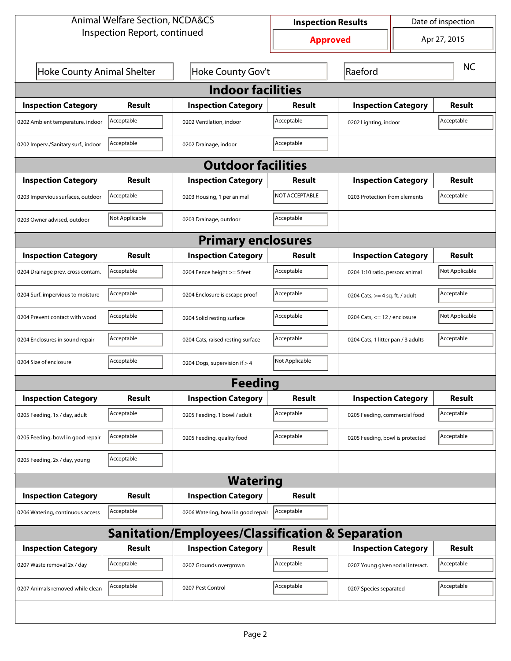| <b>Animal Welfare Section, NCDA&amp;CS</b>       |                           |                                    | Date of inspection<br><b>Inspection Results</b> |                                   |                                    |               |  |  |  |  |
|--------------------------------------------------|---------------------------|------------------------------------|-------------------------------------------------|-----------------------------------|------------------------------------|---------------|--|--|--|--|
| Inspection Report, continued                     |                           |                                    | <b>Approved</b>                                 |                                   |                                    | Apr 27, 2015  |  |  |  |  |
| Hoke County Animal Shelter                       |                           | Hoke County Gov't                  |                                                 | Raeford                           |                                    | <b>NC</b>     |  |  |  |  |
| <b>Indoor facilities</b>                         |                           |                                    |                                                 |                                   |                                    |               |  |  |  |  |
| <b>Inspection Category</b>                       | Result                    | <b>Inspection Category</b>         | Result                                          | <b>Inspection Category</b>        |                                    | <b>Result</b> |  |  |  |  |
| 0202 Ambient temperature, indoor                 | Acceptable                | 0202 Ventilation, indoor           | Acceptable                                      | 0202 Lighting, indoor             |                                    | Acceptable    |  |  |  |  |
| 0202 Imperv./Sanitary surf., indoor              | Acceptable                | 0202 Drainage, indoor              | Acceptable                                      |                                   |                                    |               |  |  |  |  |
|                                                  | <b>Outdoor facilities</b> |                                    |                                                 |                                   |                                    |               |  |  |  |  |
| <b>Inspection Category</b>                       | Result                    | <b>Inspection Category</b>         | Result                                          | <b>Inspection Category</b>        |                                    | <b>Result</b> |  |  |  |  |
| 0203 Impervious surfaces, outdoor                | Acceptable                | 0203 Housing, 1 per animal         | NOT ACCEPTABLE                                  |                                   | 0203 Protection from elements      |               |  |  |  |  |
| 0203 Owner advised, outdoor                      | Not Applicable            | 0203 Drainage, outdoor             | Acceptable                                      |                                   |                                    |               |  |  |  |  |
| <b>Primary enclosures</b>                        |                           |                                    |                                                 |                                   |                                    |               |  |  |  |  |
| <b>Inspection Category</b>                       | Result                    | <b>Inspection Category</b>         | Result                                          | <b>Inspection Category</b>        |                                    | Result        |  |  |  |  |
| 0204 Drainage prev. cross contam.                | Acceptable                | 0204 Fence height >= 5 feet        | Acceptable                                      |                                   | 0204 1:10 ratio, person: animal    |               |  |  |  |  |
| 0204 Surf. impervious to moisture                | Acceptable                | 0204 Enclosure is escape proof     | Acceptable                                      |                                   | 0204 Cats, $>=$ 4 sq. ft. / adult  |               |  |  |  |  |
| 0204 Prevent contact with wood                   | Acceptable                | 0204 Solid resting surface         | Acceptable                                      |                                   | 0204 Cats, $\le$ 12 / enclosure    |               |  |  |  |  |
| 0204 Enclosures in sound repair                  | Acceptable                | 0204 Cats, raised resting surface  | Acceptable                                      |                                   | 0204 Cats, 1 litter pan / 3 adults |               |  |  |  |  |
| 0204 Size of enclosure                           | Acceptable                | 0204 Dogs, supervision if > 4      | Not Applicable                                  |                                   |                                    |               |  |  |  |  |
|                                                  |                           | Feedina                            |                                                 |                                   |                                    |               |  |  |  |  |
| <b>Inspection Category</b>                       | <b>Result</b>             | <b>Inspection Category</b>         | <b>Result</b>                                   | <b>Inspection Category</b>        |                                    | <b>Result</b> |  |  |  |  |
| 0205 Feeding, 1x / day, adult                    | Acceptable                | 0205 Feeding, 1 bowl / adult       | Acceptable                                      | 0205 Feeding, commercial food     |                                    | Acceptable    |  |  |  |  |
| 0205 Feeding, bowl in good repair                | Acceptable                | 0205 Feeding, quality food         | Acceptable                                      | 0205 Feeding, bowl is protected   |                                    | Acceptable    |  |  |  |  |
| 0205 Feeding, 2x / day, young                    | Acceptable                |                                    |                                                 |                                   |                                    |               |  |  |  |  |
|                                                  |                           | <b>Watering</b>                    |                                                 |                                   |                                    |               |  |  |  |  |
| <b>Inspection Category</b>                       | <b>Result</b>             | <b>Inspection Category</b>         | <b>Result</b>                                   |                                   |                                    |               |  |  |  |  |
| 0206 Watering, continuous access                 | Acceptable                | 0206 Watering, bowl in good repair | Acceptable                                      |                                   |                                    |               |  |  |  |  |
| Sanitation/Employees/Classification & Separation |                           |                                    |                                                 |                                   |                                    |               |  |  |  |  |
| <b>Inspection Category</b>                       | <b>Result</b>             | <b>Inspection Category</b>         | Result                                          | <b>Inspection Category</b>        |                                    | <b>Result</b> |  |  |  |  |
| 0207 Waste removal 2x / day                      | Acceptable                | 0207 Grounds overgrown             | Acceptable                                      | 0207 Young given social interact. |                                    | Acceptable    |  |  |  |  |
| 0207 Animals removed while clean                 | Acceptable                | 0207 Pest Control                  | Acceptable                                      | 0207 Species separated            |                                    | Acceptable    |  |  |  |  |
|                                                  |                           |                                    |                                                 |                                   |                                    |               |  |  |  |  |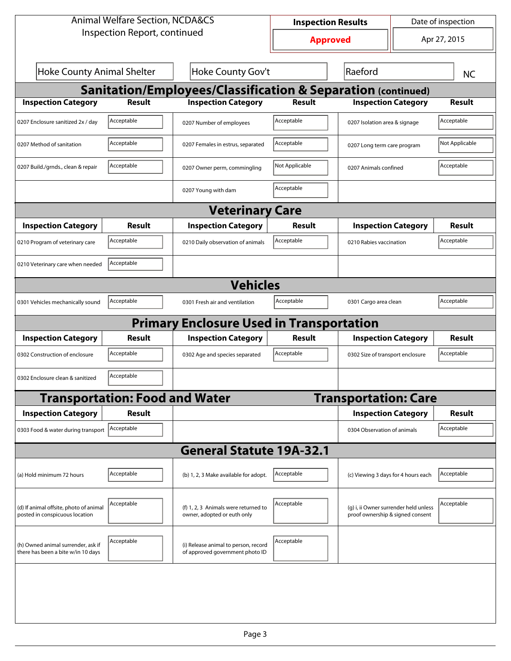| <b>Animal Welfare Section, NCDA&amp;CS</b>                               |                                       |                                                                         | <b>Inspection Results</b> |                                                                           | Date of inspection          |               |  |  |  |
|--------------------------------------------------------------------------|---------------------------------------|-------------------------------------------------------------------------|---------------------------|---------------------------------------------------------------------------|-----------------------------|---------------|--|--|--|
| Inspection Report, continued                                             |                                       |                                                                         | <b>Approved</b>           |                                                                           | Apr 27, 2015                |               |  |  |  |
| <b>Hoke County Animal Shelter</b>                                        |                                       | Hoke County Gov't                                                       |                           | Raeford                                                                   |                             | <b>NC</b>     |  |  |  |
| <b>Sanitation/Employees/Classification &amp; Separation (continued)</b>  |                                       |                                                                         |                           |                                                                           |                             |               |  |  |  |
| <b>Inspection Category</b>                                               | <b>Result</b>                         | <b>Inspection Category</b>                                              | <b>Result</b>             | <b>Inspection Category</b>                                                |                             | <b>Result</b> |  |  |  |
| 0207 Enclosure sanitized 2x / day                                        | Acceptable                            | 0207 Number of employees                                                | Acceptable                | 0207 Isolation area & signage                                             |                             | Acceptable    |  |  |  |
| 0207 Method of sanitation                                                | Acceptable                            | 0207 Females in estrus, separated                                       | Acceptable                |                                                                           | 0207 Long term care program |               |  |  |  |
| 0207 Build./grnds., clean & repair                                       | Acceptable                            | 0207 Owner perm, commingling                                            | Not Applicable            | 0207 Animals confined                                                     |                             | Acceptable    |  |  |  |
|                                                                          |                                       | 0207 Young with dam                                                     | Acceptable                |                                                                           |                             |               |  |  |  |
| <b>Veterinary Care</b>                                                   |                                       |                                                                         |                           |                                                                           |                             |               |  |  |  |
| <b>Inspection Category</b>                                               | Result                                | <b>Inspection Category</b>                                              | Result                    | <b>Inspection Category</b>                                                |                             | <b>Result</b> |  |  |  |
| 0210 Program of veterinary care                                          | Acceptable                            | 0210 Daily observation of animals                                       | Acceptable                | 0210 Rabies vaccination                                                   |                             | Acceptable    |  |  |  |
| 0210 Veterinary care when needed                                         | Acceptable                            |                                                                         |                           |                                                                           |                             |               |  |  |  |
|                                                                          |                                       | <b>Vehicles</b>                                                         |                           |                                                                           |                             |               |  |  |  |
| 0301 Vehicles mechanically sound                                         | Acceptable                            | 0301 Fresh air and ventilation                                          | Acceptable                | 0301 Cargo area clean                                                     |                             | Acceptable    |  |  |  |
| <b>Primary Enclosure Used in Transportation</b>                          |                                       |                                                                         |                           |                                                                           |                             |               |  |  |  |
| <b>Inspection Category</b>                                               | Result                                | <b>Inspection Category</b>                                              | <b>Result</b>             | <b>Inspection Category</b>                                                |                             | Result        |  |  |  |
| 0302 Construction of enclosure                                           | Acceptable                            | 0302 Age and species separated                                          | Acceptable                | 0302 Size of transport enclosure                                          |                             | Acceptable    |  |  |  |
| 0302 Enclosure clean & sanitized                                         | Acceptable                            |                                                                         |                           |                                                                           |                             |               |  |  |  |
|                                                                          | <b>Transportation: Food and Water</b> |                                                                         |                           | <b>Transportation: Care</b>                                               |                             |               |  |  |  |
| <b>Inspection Category</b>                                               | <b>Result</b>                         |                                                                         |                           | <b>Inspection Category</b>                                                |                             | <b>Result</b> |  |  |  |
| 0303 Food & water during transport   Acceptable                          |                                       |                                                                         |                           | 0304 Observation of animals                                               |                             | Acceptable    |  |  |  |
|                                                                          |                                       | <b>General Statute 19A-32.1</b>                                         |                           |                                                                           |                             |               |  |  |  |
| (a) Hold minimum 72 hours                                                | Acceptable                            | (b) 1, 2, 3 Make available for adopt.                                   | Acceptable                | (c) Viewing 3 days for 4 hours each                                       |                             | Acceptable    |  |  |  |
| (d) If animal offsite, photo of animal<br>posted in conspicuous location | Acceptable                            | (f) 1, 2, 3 Animals were returned to<br>owner, adopted or euth only     | Acceptable                | (g) i, ii Owner surrender held unless<br>proof ownership & signed consent |                             | Acceptable    |  |  |  |
| (h) Owned animal surrender, ask if<br>there has been a bite w/in 10 days | Acceptable                            | (i) Release animal to person, record<br>of approved government photo ID | Acceptable                |                                                                           |                             |               |  |  |  |
|                                                                          |                                       |                                                                         |                           |                                                                           |                             |               |  |  |  |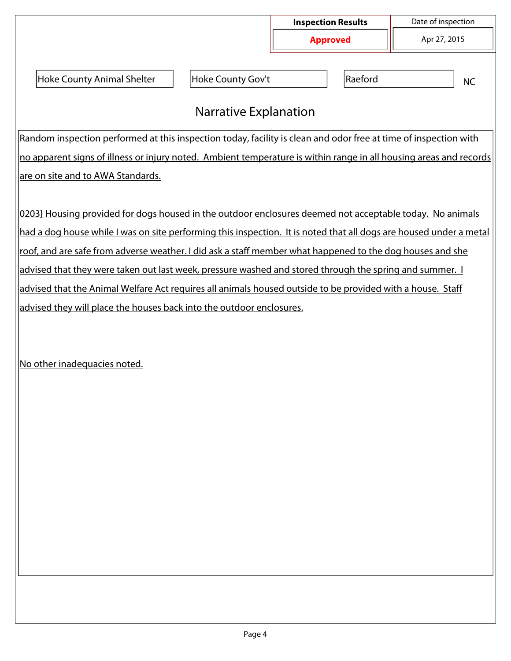|                                                                                                                    |                   | <b>Inspection Results</b><br><b>Approved</b> |  | Date of inspection |  |  |  |  |
|--------------------------------------------------------------------------------------------------------------------|-------------------|----------------------------------------------|--|--------------------|--|--|--|--|
|                                                                                                                    |                   |                                              |  | Apr 27, 2015       |  |  |  |  |
| <b>Hoke County Animal Shelter</b>                                                                                  | Hoke County Gov't | Raeford                                      |  | <b>NC</b>          |  |  |  |  |
| <b>Narrative Explanation</b>                                                                                       |                   |                                              |  |                    |  |  |  |  |
| Random inspection performed at this inspection today, facility is clean and odor free at time of inspection with   |                   |                                              |  |                    |  |  |  |  |
| no apparent signs of illness or injury noted. Ambient temperature is within range in all housing areas and records |                   |                                              |  |                    |  |  |  |  |
| <u>are on site and to AWA Standards.</u>                                                                           |                   |                                              |  |                    |  |  |  |  |
|                                                                                                                    |                   |                                              |  |                    |  |  |  |  |
| 0203} Housing provided for dogs housed in the outdoor enclosures deemed not acceptable today. No animals           |                   |                                              |  |                    |  |  |  |  |
| had a dog house while I was on site performing this inspection. It is noted that all dogs are housed under a metal |                   |                                              |  |                    |  |  |  |  |
| roof, and are safe from adverse weather. I did ask a staff member what happened to the dog houses and she          |                   |                                              |  |                    |  |  |  |  |
| advised that they were taken out last week, pressure washed and stored through the spring and summer. I            |                   |                                              |  |                    |  |  |  |  |
| advised that the Animal Welfare Act requires all animals housed outside to be provided with a house. Staff         |                   |                                              |  |                    |  |  |  |  |
| advised they will place the houses back into the outdoor enclosures.                                               |                   |                                              |  |                    |  |  |  |  |
|                                                                                                                    |                   |                                              |  |                    |  |  |  |  |

No other inadequacies noted.